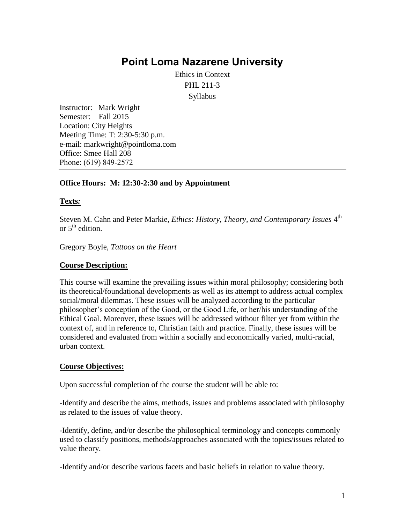# **Point Loma [Nazarene](http://www.pointloma.edu/) University**

Ethics in Context PHL 211-3 Syllabus

Instructor: Mark Wright Semester: Fall 2015 Location: City Heights Meeting Time: T: 2:30-5:30 p.m. e-mail: markwright@pointloma.com Office: Smee Hall 208 Phone: (619) 849-2572

## **Office Hours: M: 12:30-2:30 and by Appointment**

## **Texts***:*

Steven M. Cahn and Peter Markie, *Ethics: History, Theory, and Contemporary Issues* 4<sup>th</sup> or  $5<sup>th</sup>$  edition.

Gregory Boyle, *Tattoos on the Heart*

## **Course Description:**

This course will examine the prevailing issues within moral philosophy; considering both its theoretical/foundational developments as well as its attempt to address actual complex social/moral dilemmas. These issues will be analyzed according to the particular philosopher's conception of the Good, or the Good Life, or her/his understanding of the Ethical Goal. Moreover, these issues will be addressed without filter yet from within the context of, and in reference to, Christian faith and practice. Finally, these issues will be considered and evaluated from within a socially and economically varied, multi-racial, urban context.

## **Course Objectives:**

Upon successful completion of the course the student will be able to:

-Identify and describe the aims, methods, issues and problems associated with philosophy as related to the issues of value theory.

-Identify, define, and/or describe the philosophical terminology and concepts commonly used to classify positions, methods/approaches associated with the topics/issues related to value theory.

-Identify and/or describe various facets and basic beliefs in relation to value theory.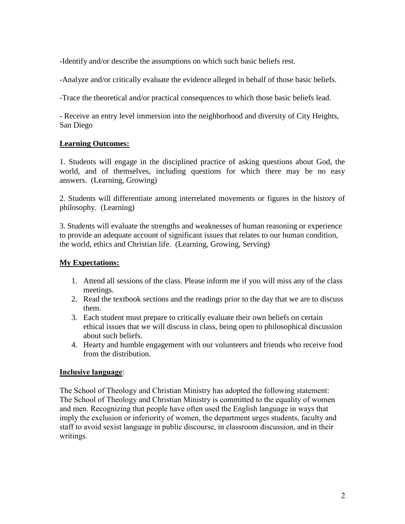-Identify and/or describe the assumptions on which such basic beliefs rest.

-Analyze and/or critically evaluate the evidence alleged in behalf of those basic beliefs.

-Trace the theoretical and/or practical consequences to which those basic beliefs lead.

- Receive an entry level immersion into the neighborhood and diversity of City Heights, San Diego

# **Learning Outcomes:**

1. Students will engage in the disciplined practice of asking questions about God, the world, and of themselves, including questions for which there may be no easy answers. (Learning, Growing)

2. Students will differentiate among interrelated movements or figures in the history of philosophy. (Learning)

3. Students will evaluate the strengths and weaknesses of human reasoning or experience to provide an adequate account of significant issues that relates to our human condition, the world, ethics and Christian life. (Learning, Growing, Serving)

## **My Expectations:**

- 1. Attend all sessions of the class. Please inform me if you will miss any of the class meetings.
- 2. Read the textbook sections and the readings prior to the day that we are to discuss them.
- 3. Each student must prepare to critically evaluate their own beliefs on certain ethical issues that we will discuss in class, being open to philosophical discussion about such beliefs.
- 4. Hearty and humble engagement with our volunteers and friends who receive food from the distribution.

## **Inclusive language**:

The School of Theology and Christian Ministry has adopted the following statement: The School of Theology and Christian Ministry is committed to the equality of women and men. Recognizing that people have often used the English language in ways that imply the exclusion or inferiority of women, the department urges students, faculty and staff to avoid sexist language in public discourse, in classroom discussion, and in their writings.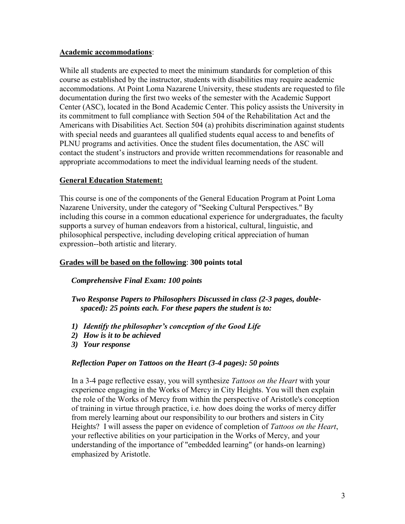## **Academic accommodations**:

While all students are expected to meet the minimum standards for completion of this course as established by the instructor, students with disabilities may require academic accommodations. At Point Loma Nazarene University, these students are requested to file documentation during the first two weeks of the semester with the Academic Support Center (ASC), located in the Bond Academic Center. This policy assists the University in its commitment to full compliance with Section 504 of the Rehabilitation Act and the Americans with Disabilities Act. Section 504 (a) prohibits discrimination against students with special needs and guarantees all qualified students equal access to and benefits of PLNU programs and activities. Once the student files documentation, the ASC will contact the student's instructors and provide written recommendations for reasonable and appropriate accommodations to meet the individual learning needs of the student.

# **General Education Statement:**

This course is one of the components of the General Education Program at Point Loma Nazarene University, under the category of "Seeking Cultural Perspectives." By including this course in a common educational experience for undergraduates, the faculty supports a survey of human endeavors from a historical, cultural, linguistic, and philosophical perspective, including developing critical appreciation of human expression--both artistic and literary.

## **Grades will be based on the following**: **300 points total**

## *Comprehensive Final Exam: 100 points*

*Two Response Papers to Philosophers Discussed in class (2-3 pages, doublespaced): 25 points each. For these papers the student is to:*

- *1) Identify the philosopher's conception of the Good Life*
- *2) How is it to be achieved*
- *3) Your response*

# *Reflection Paper on Tattoos on the Heart (3-4 pages): 50 points*

In a 3-4 page reflective essay, you will synthesize *Tattoos on the Heart* with your experience engaging in the Works of Mercy in City Heights. You will then explain the role of the Works of Mercy from within the perspective of Aristotle's conception of training in virtue through practice, i.e. how does doing the works of mercy differ from merely learning about our responsibility to our brothers and sisters in City Heights? I will assess the paper on evidence of completion of *Tattoos on the Heart*, your reflective abilities on your participation in the Works of Mercy, and your understanding of the importance of "embedded learning" (or hands-on learning) emphasized by Aristotle.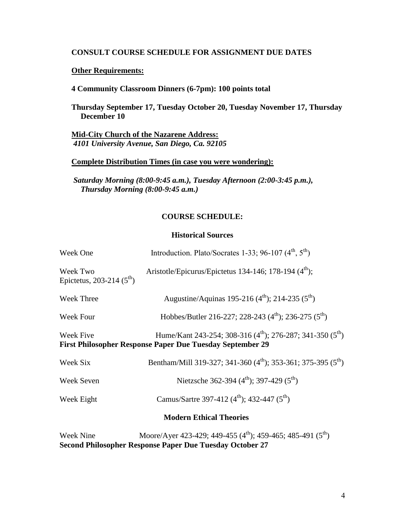#### **CONSULT COURSE SCHEDULE FOR ASSIGNMENT DUE DATES**

## **Other Requirements:**

**4 Community Classroom Dinners (6-7pm): 100 points total**

**Thursday September 17, Tuesday October 20, Tuesday November 17, Thursday December 10**

**Mid-City Church of the Nazarene Address:** *4101 University Avenue, San Diego, Ca. 92105*

### **Complete Distribution Times (in case you were wondering):**

*Saturday Morning (8:00-9:45 a.m.), Tuesday Afternoon (2:00-3:45 p.m.), Thursday Morning (8:00-9:45 a.m.)* 

#### **COURSE SCHEDULE:**

#### **Historical Sources**

| Week One                                  | Introduction. Plato/Socrates 1-33; 96-107 (4 <sup>th</sup> , 5 <sup>th</sup> )                                                                  |
|-------------------------------------------|-------------------------------------------------------------------------------------------------------------------------------------------------|
| Week Two<br>Epictetus, 203-214 $(5^{th})$ | Aristotle/Epicurus/Epictetus 134-146; 178-194 $(4th)$ ;                                                                                         |
| <b>Week Three</b>                         | Augustine/Aquinas 195-216 $(4^{\text{th}})$ ; 214-235 $(5^{\text{th}})$                                                                         |
| Week Four                                 | Hobbes/Butler 216-227; 228-243 $(4th)$ ; 236-275 $(5th)$                                                                                        |
| Week Five                                 | Hume/Kant 243-254; 308-316 (4 <sup>th</sup> ); 276-287; 341-350 (5 <sup>th</sup> )<br>First Philosopher Response Paper Due Tuesday September 29 |
| Week Six                                  | Bentham/Mill 319-327; 341-360 $(4th)$ ; 353-361; 375-395 $(5th)$                                                                                |
| Week Seven                                | Nietzsche 362-394 (4 <sup>th</sup> ); 397-429 (5 <sup>th</sup> )                                                                                |
| Week Eight                                | Camus/Sartre 397-412 (4 <sup>th</sup> ); 432-447 (5 <sup>th</sup> )                                                                             |
|                                           | <b>Modern Ethical Theories</b>                                                                                                                  |
| Week Nine                                 | Moore/Aver 423-429: 449-455 $(4^{\text{th}})$ : 459-465: 485-491 $(5^{\text{th}})$                                                              |

Week Nine Moore/Ayer 423-429; 449-455 (4"'); 459-465; 485-491 (5"') **Second Philosopher Response Paper Due Tuesday October 27**